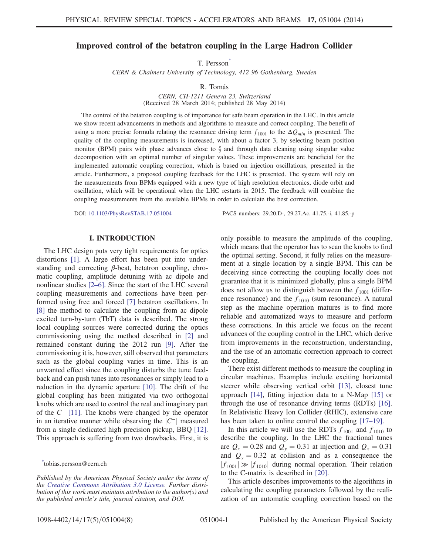## <span id="page-0-1"></span>Improved control of the betatron coupling in the Large Hadron Collider

T. Persson<sup>\*</sup>

CERN & Chalmers University of Technology, 412 96 Gothenburg, Sweden

R. Tomás

CERN, CH-1211 Geneva 23, Switzerland (Received 28 March 2014; published 28 May 2014)

The control of the betatron coupling is of importance for safe beam operation in the LHC. In this article we show recent advancements in methods and algorithms to measure and correct coupling. The benefit of using a more precise formula relating the resonance driving term  $f_{1001}$  to the  $\Delta Q_{min}$  is presented. The quality of the coupling measurements is increased, with about a factor 3, by selecting beam position monitor (BPM) pairs with phase advances close to  $\frac{\pi}{2}$  and through data cleaning using singular value decomposition with an optimal number of singular values. These improvements are beneficial for the implemented automatic coupling correction, which is based on injection oscillations, presented in the article. Furthermore, a proposed coupling feedback for the LHC is presented. The system will rely on the measurements from BPMs equipped with a new type of high resolution electronics, diode orbit and oscillation, which will be operational when the LHC restarts in 2015. The feedback will combine the coupling measurements from the available BPMs in order to calculate the best correction.

DOI: [10.1103/PhysRevSTAB.17.051004](http://dx.doi.org/10.1103/PhysRevSTAB.17.051004) PACS numbers: 29.20.D-, 29.27.Ac, 41.75.-i, 41.85.-p

### I. INTRODUCTION

The LHC design puts very tight requirements for optics distortions [\[1\].](#page-7-0) A large effort has been put into understanding and correcting  $\beta$ -beat, betatron coupling, chromatic coupling, amplitude detuning with ac dipole and nonlinear studies [2–[6\].](#page-7-1) Since the start of the LHC several coupling measurements and corrections have been performed using free and forced [\[7\]](#page-7-2) betatron oscillations. In [\[8\]](#page-7-3) the method to calculate the coupling from ac dipole excited turn-by-turn (TbT) data is described. The strong local coupling sources were corrected during the optics commissioning using the method described in [\[2\]](#page-7-1) and remained constant during the 2012 run [\[9\].](#page-7-4) After the commissioning it is, however, still observed that parameters such as the global coupling varies in time. This is an unwanted effect since the coupling disturbs the tune feedback and can push tunes into resonances or simply lead to a reduction in the dynamic aperture [\[10\]](#page-7-5). The drift of the global coupling has been mitigated via two orthogonal knobs which are used to control the real and imaginary part of the C<sup>−</sup> [\[11\].](#page-7-6) The knobs were changed by the operator in an iterative manner while observing the  $|C^-|$  measured from a single dedicated high precision pickup, BBQ [\[12\]](#page-7-7). This approach is suffering from two drawbacks. First, it is only possible to measure the amplitude of the coupling, which means that the operator has to scan the knobs to find the optimal setting. Second, it fully relies on the measurement at a single location by a single BPM. This can be deceiving since correcting the coupling locally does not guarantee that it is minimized globally, plus a single BPM does not allow us to distinguish between the  $f_{1001}$  (difference resonance) and the  $f_{1010}$  (sum resonance). A natural step as the machine operation matures is to find more reliable and automatized ways to measure and perform these corrections. In this article we focus on the recent advances of the coupling control in the LHC, which derive from improvements in the reconstruction, understanding, and the use of an automatic correction approach to correct the coupling.

There exist different methods to measure the coupling in circular machines. Examples include exciting horizontal steerer while observing vertical orbit [\[13\],](#page-7-8) closest tune approach [\[14\],](#page-7-9) fitting injection data to a N-Map [\[15\]](#page-7-10) or through the use of resonance driving terms (RDTs) [\[16\]](#page-7-11). In Relativistic Heavy Ion Collider (RHIC), extensive care has been taken to online control the coupling [17–[19\].](#page-7-12)

In this article we will use the RDTs  $f_{1001}$  and  $f_{1010}$  to describe the coupling. In the LHC the fractional tunes are  $Q_x = 0.28$  and  $Q_y = 0.31$  at injection and  $Q_x = 0.31$ and  $Q_y = 0.32$  at collision and as a consequence the  $|f_{1001}| \gg |f_{1010}|$  during normal operation. Their relation to the C-matrix is described in [\[20\]](#page-7-13).

This article describes improvements to the algorithms in calculating the coupling parameters followed by the realization of an automatic coupling correction based on the

<span id="page-0-0"></span>[<sup>\\*</sup>](#page-0-1) tobias.persson@cern.ch

Published by the American Physical Society under the terms of the [Creative Commons Attribution 3.0 License.](http://creativecommons.org/licenses/by/3.0/) Further distribution of this work must maintain attribution to the author(s) and the published article*'*s title, journal citation, and DOI.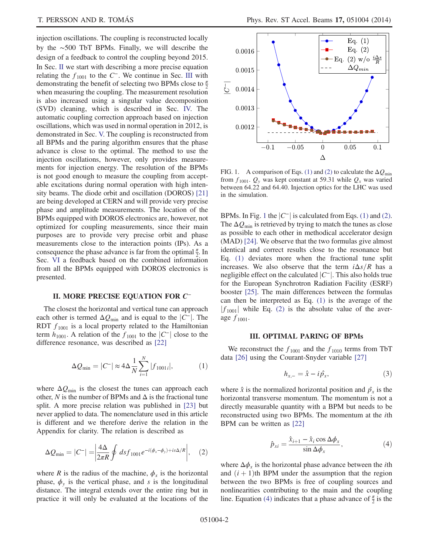injection oscillations. The coupling is reconstructed locally by the ∼500 TbT BPMs. Finally, we will describe the design of a feedback to control the coupling beyond 2015. In Sec. [II](#page-1-0) we start with describing a more precise equation relating the  $f_{1001}$  to the C<sup>−</sup>. We continue in Sec. [III](#page-1-1) with demonstrating the benefit of selecting two BPMs close to  $\frac{\pi}{2}$ when measuring the coupling. The measurement resolution is also increased using a singular value decomposition (SVD) cleaning, which is described in Sec. [IV.](#page-2-0) The automatic coupling correction approach based on injection oscillations, which was used in normal operation in 2012, is demonstrated in Sec. [V.](#page-3-0) The coupling is reconstructed from all BPMs and the paring algorithm ensures that the phase advance is close to the optimal. The method to use the injection oscillations, however, only provides measurements for injection energy. The resolution of the BPMs is not good enough to measure the coupling from acceptable excitations during normal operation with high intensity beams. The diode orbit and oscillation (DOROS) [\[21\]](#page-7-14) are being developed at CERN and will provide very precise phase and amplitude measurements. The location of the BPMs equipped with DOROS electronics are, however, not optimized for coupling measurements, since their main purposes are to provide very precise orbit and phase measurements close to the interaction points (IPs). As a consequence the phase advance is far from the optimal  $\frac{\pi}{2}$ . In Sec. [VI](#page-4-0) a feedback based on the combined information from all the BPMs equipped with DOROS electronics is presented.

## <span id="page-1-0"></span>II. MORE PRECISE EQUATION FOR C<sup>−</sup>

<span id="page-1-3"></span>The closest the horizontal and vertical tune can approach each other is termed  $\Delta Q_{\text{min}}$  and is equal to the  $|C^-|$ . The RDT  $f_{1001}$  is a local property related to the Hamiltonian term  $h_{1001}$ . A relation of the  $f_{1001}$  to the  $|C^{-}|$  close to the difference resonance, was described as [\[22\]](#page-7-15)

$$
\Delta Q_{\min} = |C^-| \approx 4\Delta \frac{1}{N} \sum_{i=1}^{N} |f_{1001i}|,\tag{1}
$$

where  $\Delta Q_{\text{min}}$  is the closest the tunes can approach each other, N is the number of BPMs and  $\Delta$  is the fractional tune split. A more precise relation was published in [\[23\]](#page-7-16) but never applied to data. The nomenclature used in this article is different and we therefore derive the relation in the Appendix for clarity. The relation is described as

<span id="page-1-4"></span>
$$
\Delta Q_{\min} = |C^-| = \left| \frac{4\Delta}{2\pi R} \oint ds f_{1001} e^{-i(\phi_x - \phi_y) + is\Delta/R} \right|, \quad (2)
$$

where R is the radius of the machine,  $\phi_x$  is the horizontal phase,  $\phi_y$  is the vertical phase, and s is the longitudinal distance. The integral extends over the entire ring but in practice it will only be evaluated at the locations of the

<span id="page-1-2"></span>

FIG. 1. A comparison of Eqs. [\(1\)](#page-1-3) and [\(2\)](#page-1-4) to calculate the  $\Delta Q_{\text{min}}$ from  $f_{1001}$ .  $Q_y$  was kept constant at 59.31 while  $Q_x$  was varied between 64.22 and 64.40. Injection optics for the LHC was used in the simulation.

BPMs. In Fig. [1](#page-1-2) the  $|C^{-}|$  is calculated from Eqs. [\(1\)](#page-1-3) and [\(2\)](#page-1-4). The  $\Delta Q_{\text{min}}$  is retrieved by trying to match the tunes as close as possible to each other in methodical accelerator design (MAD) [\[24\].](#page-7-17) We observe that the two formulas give almost identical and correct results close to the resonance but Eq. [\(1\)](#page-1-3) deviates more when the fractional tune split increases. We also observe that the term  $i\Delta s/R$  has a negligible effect on the calculated  $|C^-|$ . This also holds true for the European Synchrotron Radiation Facility (ESRF) booster [\[25\].](#page-7-18) The main differences between the formulas can then be interpreted as Eq. [\(1\)](#page-1-3) is the average of the  $|f_{1001}|$  while Eq. [\(2\)](#page-1-4) is the absolute value of the average  $f_{1001}$ .

#### III. OPTIMAL PARING OF BPMs

<span id="page-1-1"></span>We reconstruct the  $f_{1001}$  and the  $f_{1010}$  terms from TbT data [\[26\]](#page-7-19) using the Courant-Snyder variable [\[27\]](#page-7-20)

$$
h_{x,-} = \hat{x} - i\hat{p}_x,\tag{3}
$$

<span id="page-1-5"></span>where  $\hat{x}$  is the normalized horizontal position and  $\hat{p}_x$  is the horizontal transverse momentum. The momentum is not a directly measurable quantity with a BPM but needs to be reconstructed using two BPMs. The momentum at the ith BPM can be written as [\[22\]](#page-7-15)

$$
\hat{p}_{xi} = \frac{\hat{x}_{i+1} - \hat{x}_i \cos \Delta \phi_x}{\sin \Delta \phi_x},
$$
\n(4)

where  $\Delta \phi_x$  is the horizontal phase advance between the *i*th and  $(i + 1)$ th BPM under the assumption that the region between the two BPMs is free of coupling sources and nonlinearities contributing to the main and the coupling line. Equation [\(4\)](#page-1-5) indicates that a phase advance of  $\frac{\pi}{2}$  is the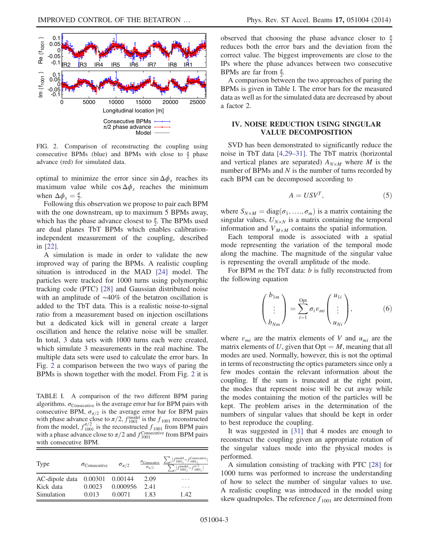<span id="page-2-1"></span>

FIG. 2. Comparison of reconstructing the coupling using consecutive BPMs (blue) and BPMs with close to  $\frac{\pi}{2}$  phase advance (red) for simulated data.

optimal to minimize the error since  $\sin \Delta \phi_x$  reaches its maximum value while  $\cos \Delta \phi_x$  reaches the minimum when  $\Delta \phi_x = \frac{\pi}{2}$ .<br>Following this

Following this observation we propose to pair each BPM with the one downstream, up to maximum 5 BPMs away, which has the phase advance closest to  $\frac{\pi}{2}$ . The BPMs used are dual planes TbT BPMs which enables calibrationindependent measurement of the coupling, described in [\[22\]](#page-7-15).

A simulation is made in order to validate the new improved way of paring the BPMs. A realistic coupling situation is introduced in the MAD [\[24\]](#page-7-17) model. The particles were tracked for 1000 turns using polymorphic tracking code (PTC) [\[28\]](#page-7-21) and Gaussian distributed noise with an amplitude of ∼40% of the betatron oscillation is added to the TbT data. This is a realistic noise-to-signal ratio from a measurement based on injection oscillations but a dedicated kick will in general create a larger oscillation and hence the relative noise will be smaller. In total, 3 data sets with 1000 turns each were created, which simulate 3 measurements in the real machine. The multiple data sets were used to calculate the error bars. In Fig. [2](#page-2-1) a comparison between the two ways of paring the BPMs is shown together with the model. From Fig. [2](#page-2-1) it is

<span id="page-2-2"></span>TABLE I. A comparison of the two different BPM paring algorithms.  $\sigma_{\text{Consecutive}}$  is the average error bar for BPM pairs with consecutive BPM,  $\sigma_{\pi/2}$  is the average error bar for BPM pairs with phase advance close to  $\pi/2$ ,  $f_{1001}^{\text{model}}$  is the  $f_{1001}$  reconstructed from the model,  $f_{1001}^{\pi/2}$  is the reconstructed  $f_{1001}$  from BPM pairs with a phase advance close to  $\pi/2$  and  $f_{1001}^{\text{Consecutive}}$  from BPM pairs with consecutive BPM.

| Type                           | $\sigma_{\text{Consecutive}}$ | $\sigma_{\pi/2}$ | $\sigma_{\pi/2}$ | $\sigma_{\text{Consecutive}} \sum_i  f_{1001_i}^{\text{model}} - f_{1001_i}^{\text{Consecutive}} $<br>$\sum_i  f_{1001}^{\text{model}} - f_{1001_i}^{\pi/2} $ |
|--------------------------------|-------------------------------|------------------|------------------|---------------------------------------------------------------------------------------------------------------------------------------------------------------|
| AC-dipole data 0.00301 0.00144 |                               |                  | 2.09             | .                                                                                                                                                             |
| Kick data                      | 0.0023                        | 0.000956         | 2.41             | .                                                                                                                                                             |
| Simulation                     | 0.013                         | 0.0071           | 1.83             | 1.42                                                                                                                                                          |

observed that choosing the phase advance closer to  $\frac{\pi}{2}$ reduces both the error bars and the deviation from the correct value. The biggest improvements are close to the IPs where the phase advances between two consecutive BPMs are far from  $\frac{\pi}{2}$ .

A comparison between the two approaches of paring the BPMs is given in Table [I.](#page-2-2) The error bars for the measured data as well as for the simulated data are decreased by about a factor 2.

# <span id="page-2-0"></span>IV. NOISE REDUCTION USING SINGULAR VALUE DECOMPOSITION

SVD has been demonstrated to significantly reduce the noise in TbT data [\[4,29](#page-7-22)–31]. The TbT matrix (horizontal and vertical planes are separated)  $A_{N\times M}$  where M is the number of BPMs and  $N$  is the number of turns recorded by each BPM can be decomposed according to

$$
A = USV^T,\t\t(5)
$$

where  $S_{N\times M} = \text{diag}(\sigma_1, \ldots, \sigma_m)$  is a matrix containing the singular values,  $U_{N\times N}$  is a matrix containing the temporal information and  $V_{M\times M}$  contains the spatial information.

Each temporal mode is associated with a spatial mode representing the variation of the temporal mode along the machine. The magnitude of the singular value is representing the overall amplitude of the mode.

For BPM  $m$  the TbT data:  $b$  is fully reconstructed from the following equation

$$
\begin{pmatrix} b_{1m} \\ \vdots \\ b_{Nm} \end{pmatrix} = \sum_{i=1}^{Opt} \sigma_i v_{mi} \begin{pmatrix} u_{1i} \\ \vdots \\ u_{Ni} \end{pmatrix}, \tag{6}
$$

where  $v_{mi}$  are the matrix elements of V and  $u_{mi}$  are the matrix elements of U, given that  $Opt = M$ , meaning that all modes are used. Normally, however, this is not the optimal in terms of reconstructing the optics parameters since only a few modes contain the relevant information about the coupling. If the sum is truncated at the right point, the modes that represent noise will be cut away while the modes containing the motion of the particles will be kept. The problem arises in the determination of the numbers of singular values that should be kept in order to best reproduce the coupling.

It was suggested in [\[31\]](#page-7-23) that 4 modes are enough to reconstruct the coupling given an appropriate rotation of the singular values mode into the physical modes is performed.

A simulation consisting of tracking with PTC [\[28\]](#page-7-21) for 1000 turns was performed to increase the understanding of how to select the number of singular values to use. A realistic coupling was introduced in the model using skew quadrupoles. The reference  $f_{1001}$  are determined from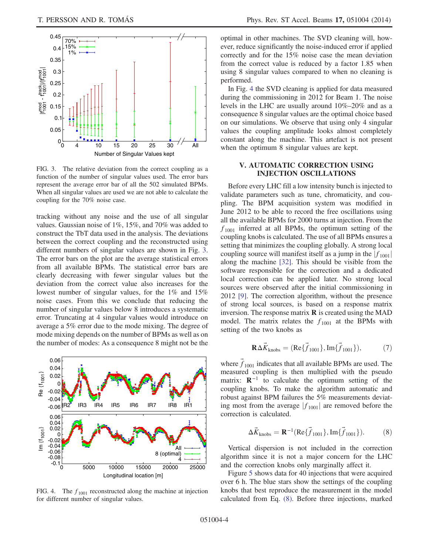<span id="page-3-1"></span>

FIG. 3. The relative deviation from the correct coupling as a function of the number of singular values used. The error bars represent the average error bar of all the 502 simulated BPMs. When all singular values are used we are not able to calculate the coupling for the 70% noise case.

tracking without any noise and the use of all singular values. Gaussian noise of 1%, 15%, and 70% was added to construct the TbT data used in the analysis. The deviations between the correct coupling and the reconstructed using different numbers of singular values are shown in Fig. [3](#page-3-1). The error bars on the plot are the average statistical errors from all available BPMs. The statistical error bars are clearly decreasing with fewer singular values but the deviation from the correct value also increases for the lowest number of singular values, for the 1% and 15% noise cases. From this we conclude that reducing the number of singular values below 8 introduces a systematic error. Truncating at 4 singular values would introduce on average a 5% error due to the mode mixing. The degree of mode mixing depends on the number of BPMs as well as on the number of modes: As a consequence 8 might not be the

<span id="page-3-2"></span>

FIG. 4. The  $f_{1001}$  reconstructed along the machine at injection for different number of singular values.

optimal in other machines. The SVD cleaning will, however, reduce significantly the noise-induced error if applied correctly and for the 15% noise case the mean deviation from the correct value is reduced by a factor 1.85 when using 8 singular values compared to when no cleaning is performed.

In Fig. [4](#page-3-2) the SVD cleaning is applied for data measured during the commissioning in 2012 for Beam 1. The noise levels in the LHC are usually around 10%–20% and as a consequence 8 singular values are the optimal choice based on our simulations. We observe that using only 4 singular values the coupling amplitude looks almost completely constant along the machine. This artefact is not present when the optimum 8 singular values are kept.

### <span id="page-3-0"></span>V. AUTOMATIC CORRECTION USING INJECTION OSCILLATIONS

Before every LHC fill a low intensity bunch is injected to validate parameters such as tune, chromaticity, and coupling. The BPM acquisition system was modified in June 2012 to be able to record the free oscillations using all the available BPMs for 2000 turns at injection. From the  $f_{1001}$  inferred at all BPMs, the optimum setting of the coupling knobs is calculated. The use of all BPMs ensures a setting that minimizes the coupling globally. A strong local coupling source will manifest itself as a jump in the  $|f_{1001}|$ along the machine [\[32\].](#page-7-24) This should be visible from the software responsible for the correction and a dedicated local correction can be applied later. No strong local sources were observed after the initial commissioning in 2012 [\[9\].](#page-7-4) The correction algorithm, without the presence of strong local sources, is based on a response matrix inversion. The response matrix  $\bf{R}$  is created using the MAD model. The matrix relates the  $f_{1001}$  at the BPMs with setting of the two knobs as

$$
\mathbf{R}\Delta \vec{K}_{\text{knobs}} = (\text{Re}\{\vec{f}_{1001}\}, \text{Im}\{\vec{f}_{1001}\}), \tag{7}
$$

where  $\vec{f}_{1001}$  indicates that all available BPMs are used. The measured coupling is then multiplied with the pseudo matrix:  $\mathbf{R}^{-1}$  to calculate the optimum setting of the coupling knobs. To make the algorithm automatic and robust against BPM failures the 5% measurements deviating most from the average  $|f_{1001}|$  are removed before the correction is calculated.

<span id="page-3-3"></span>
$$
\Delta \vec{K}_{\text{knobs}} = \mathbf{R}^{-1}(\text{Re}\{\vec{f}_{1001}\}, \text{Im}\{\vec{f}_{1001}\}).
$$
 (8)

Vertical dispersion is not included in the correction algorithm since it is not a major concern for the LHC and the correction knobs only marginally affect it.

Figure [5](#page-4-1) shows data for 40 injections that were acquired over 6 h. The blue stars show the settings of the coupling knobs that best reproduce the measurement in the model calculated from Eq. [\(8\).](#page-3-3) Before three injections, marked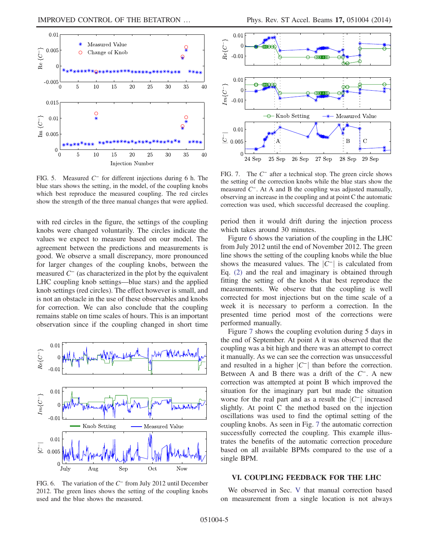<span id="page-4-1"></span>

FIG. 5. Measured C<sup>−</sup> for different injections during 6 h. The blue stars shows the setting, in the model, of the coupling knobs which best reproduce the measured coupling. The red circles show the strength of the three manual changes that were applied.

with red circles in the figure, the settings of the coupling knobs were changed voluntarily. The circles indicate the values we expect to measure based on our model. The agreement between the predictions and measurements is good. We observe a small discrepancy, more pronounced for larger changes of the coupling knobs, between the measured  $C^-$  (as characterized in the plot by the equivalent LHC coupling knob settings—blue stars) and the applied knob settings (red circles). The effect however is small, and is not an obstacle in the use of these observables and knobs for correction. We can also conclude that the coupling remains stable on time scales of hours. This is an important observation since if the coupling changed in short time

<span id="page-4-2"></span>

FIG. 6. The variation of the C<sup>−</sup> from July 2012 until December 2012. The green lines shows the setting of the coupling knobs used and the blue shows the measured.

<span id="page-4-3"></span>

FIG. 7. The C<sup>−</sup> after a technical stop. The green circle shows the setting of the correction knobs while the blue stars show the measured C<sup>−</sup>. At A and B the coupling was adjusted manually, observing an increase in the coupling and at point C the automatic correction was used, which successful decreased the coupling.

period then it would drift during the injection process which takes around 30 minutes.

Figure [6](#page-4-2) shows the variation of the coupling in the LHC from July 2012 until the end of November 2012. The green line shows the setting of the coupling knobs while the blue shows the measured values. The  $|C^{-}|$  is calculated from Eq. [\(2\)](#page-1-4) and the real and imaginary is obtained through fitting the setting of the knobs that best reproduce the measurements. We observe that the coupling is well corrected for most injections but on the time scale of a week it is necessary to perform a correction. In the presented time period most of the corrections were performed manually.

Figure [7](#page-4-3) shows the coupling evolution during 5 days in the end of September. At point A it was observed that the coupling was a bit high and there was an attempt to correct it manually. As we can see the correction was unsuccessful and resulted in a higher  $|C^{-}|$  than before the correction. Between A and B there was a drift of the C<sup>−</sup>. A new correction was attempted at point B which improved the situation for the imaginary part but made the situation worse for the real part and as a result the  $|C^{-}|$  increased slightly. At point C the method based on the injection oscillations was used to find the optimal setting of the coupling knobs. As seen in Fig. [7](#page-4-3) the automatic correction successfully corrected the coupling. This example illustrates the benefits of the automatic correction procedure based on all available BPMs compared to the use of a single BPM.

#### <span id="page-4-0"></span>VI. COUPLING FEEDBACK FOR THE LHC

We observed in Sec. [V](#page-3-0) that manual correction based on measurement from a single location is not always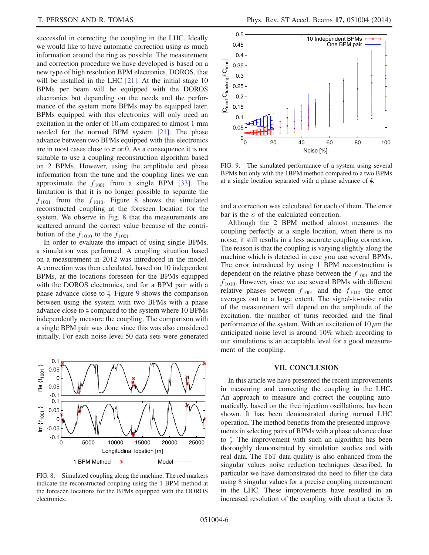successful in correcting the coupling in the LHC. Ideally we would like to have automatic correction using as much information around the ring as possible. The measurement and correction procedure we have developed is based on a new type of high resolution BPM electronics, DOROS, that will be installed in the LHC [\[21\].](#page-7-14) At the initial stage 10 BPMs per beam will be equipped with the DOROS electronics but depending on the needs and the performance of the system more BPMs may be equipped later. BPMs equipped with this electronics will only need an excitation in the order of  $10 \mu m$  compared to almost 1 mm needed for the normal BPM system [\[21\].](#page-7-14) The phase advance between two BPMs equipped with this electronics are in most cases close to  $\pi$  or 0. As a consequence it is not suitable to use a coupling reconstruction algorithm based on 2 BPMs. However, using the amplitude and phase information from the tune and the coupling lines we can approximate the  $f_{1001}$  from a single BPM [\[33\].](#page-7-25) The limitation is that it is no longer possible to separate the  $f_{1001}$  from the  $f_{1010}$ . Figure [8](#page-5-0) shows the simulated reconstructed coupling at the foreseen location for the system. We observe in Fig. [8](#page-5-0) that the measurements are scattered around the correct value because of the contribution of the  $f_{1010}$  to the  $f_{1001}$ .

In order to evaluate the impact of using single BPMs, a simulation was performed. A coupling situation based on a measurement in 2012 was introduced in the model. A correction was then calculated, based on 10 independent BPMs, at the locations foreseen for the BPMs equipped with the DOROS electronics, and for a BPM pair with a phase advance close to  $\frac{\pi}{2}$ . Figure [9](#page-5-1) shows the comparison between using the system with two BPMs with a phase advance close to  $\frac{\pi}{2}$  compared to the system where 10 BPMs independently measure the coupling. The comparison with a single BPM pair was done since this was also considered initially. For each noise level 50 data sets were generated

<span id="page-5-0"></span>

FIG. 8. Simulated coupling along the machine. The red markers indicate the reconstructed coupling using the 1 BPM method at the foreseen locations for the BPMs equipped with the DOROS electronics.

<span id="page-5-1"></span>

FIG. 9. The simulated performance of a system using several BPMs but only with the 1BPM method compared to a two BPMs at a single location separated with a phase advance of  $\frac{\pi}{2}$ .

and a correction was calculated for each of them. The error bar is the  $\sigma$  of the calculated correction.

Although the 2 BPM method almost measures the coupling perfectly at a single location, when there is no noise, it still results in a less accurate coupling correction. The reason is that the coupling is varying slightly along the machine which is detected in case you use several BPMs. The error introduced by using 1 BPM reconstruction is dependent on the relative phase between the  $f_{1001}$  and the  $f_{1010}$ . However, since we use several BPMs with different relative phases between  $f_{1001}$  and the  $f_{1010}$  the error averages out to a large extent. The signal-to-noise ratio of the measurement will depend on the amplitude of the excitation, the number of turns recorded and the final performance of the system. With an excitation of  $10 \mu m$  the anticipated noise level is around 10% which according to our simulations is an acceptable level for a good measurement of the coupling.

### VII. CONCLUSION

In this article we have presented the recent improvements in measuring and correcting the coupling in the LHC. An approach to measure and correct the coupling automatically, based on the free injection oscillations, has been shown. It has been demonstrated during normal LHC operation. The method benefits from the presented improvements in selecting pairs of BPMs with a phase advance close to  $\frac{\pi}{2}$ . The improvement with such an algorithm has been thoroughly demonstrated by simulation studies and with real data. The TbT data quality is also enhanced from the singular values noise reduction techniques described. In particular we have demonstrated the need to filter the data using 8 singular values for a precise coupling measurement in the LHC. These improvements have resulted in an increased resolution of the coupling with about a factor 3.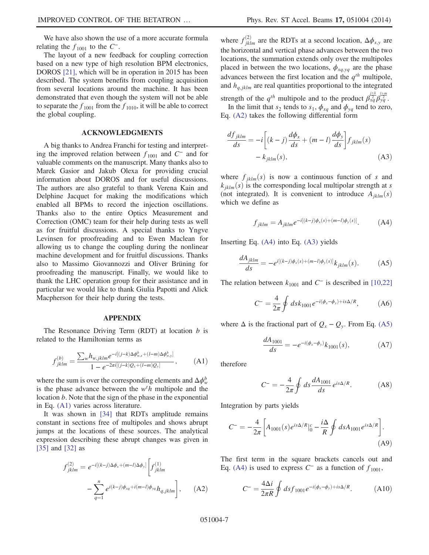We have also shown the use of a more accurate formula relating the  $f_{1001}$  to the  $C^-$ .

The layout of a new feedback for coupling correction based on a new type of high resolution BPM electronics, DOROS [\[21\]](#page-7-14), which will be in operation in 2015 has been described. The system benefits from coupling acquisition from several locations around the machine. It has been demonstrated that even though the system will not be able to separate the  $f_{1001}$  from the  $f_{1010}$ , it will be able to correct the global coupling.

#### ACKNOWLEDGMENTS

A big thanks to Andrea Franchi for testing and interpreting the improved relation between  $f_{1001}$  and  $C^-$  and for valuable comments on the manuscript. Many thanks also to Marek Gasior and Jakub Olexa for providing crucial information about DOROS and for useful discussions. The authors are also grateful to thank Verena Kain and Delphine Jacquet for making the modifications which enabled all BPMs to record the injection oscillations. Thanks also to the entire Optics Measurement and Correction (OMC) team for their help during tests as well as for fruitful discussions. A special thanks to Yngve Levinsen for proofreading and to Ewen Maclean for allowing us to change the coupling during the nonlinear machine development and for fruitful discussions. Thanks also to Massimo Giovannozzi and Oliver Brüning for proofreading the manuscript. Finally, we would like to thank the LHC operation group for their assistance and in particular we would like to thank Giulia Papotti and Alick Macpherson for their help during the tests.

#### APPENDIX

<span id="page-6-0"></span>The Resonance Driving Term  $(RDT)$  at location  $b$  is related to the Hamiltonian terms as

$$
f_{jklm}^{(b)} = \frac{\sum_{w} h_{w,jklm} e^{-i[(j-k)\Delta\phi_{w,x}^b + (l-m)\Delta\phi_{w,y}^b]}}{1 - e^{-2\pi i[(j-k)Q_x + (l-m)Q_y]}} ,
$$
 (A1)

where the sum is over the corresponding elements and  $\Delta\phi_w^b$ is the phase advance between the  $w^t h$  multipole and the location b. Note that the sign of the phase in the exponential in Eq. [\(A1\)](#page-6-0) varies across literature.

<span id="page-6-1"></span>It was shown in [\[34\]](#page-7-26) that RDTs amplitude remains constant in sections free of multipoles and shows abrupt jumps at the locations of these sources. The analytical expression describing these abrupt changes was given in [\[35\]](#page-7-27) and [\[32\]](#page-7-24) as

$$
f_{jklm}^{(2)} = e^{-i[(k-j)\Delta\phi_x + (m-l)\Delta\phi_y]} \left[ f_{jklm}^{(1)} - \sum_{q=1}^n e^{i(k-j)\phi_{xq} + i(m-l)\phi_{yq}} h_{q,jklm} \right], \quad (A2)
$$

where  $f_{iklm}^{(2)}$  are the RDTs at a second location,  $\Delta \phi_{x,y}$  are the horizontal and vertical phase advances between the two locations, the summation extends only over the multipoles placed in between the two locations,  $\phi_{xq,yq}$  are the phase advances between the first location and the  $q^{th}$  multipole, and  $h_{a,iklm}$  are real quantities proportional to the integrated strength of the  $q^{th}$  multipole and to the product  $\beta_{xq}^{\frac{j+k}{2}} \beta_{yq}^{\frac{j+m}{2}}$ .

<span id="page-6-3"></span>In the limit that  $s_2$  tends to  $s_1$ ,  $\phi_{xq}$  and  $\phi_{yq}$  tend to zero, Eq. [\(A2\)](#page-6-1) takes the following differential form

$$
\frac{df_{jklm}}{ds} = -i \left[ (k-j) \frac{d\phi_x}{ds} + (m-l) \frac{d\phi_y}{ds} \right] f_{jklm}(s)
$$

$$
- k_{jklm}(s), \tag{A3}
$$

<span id="page-6-2"></span>where  $f_{jklm}(s)$  is now a continuous function of s and  $k_{iklm}(s)$  is the corresponding local multipolar strength at s (not integrated). It is convenient to introduce  $A_{iklm}(s)$ which we define as

$$
f_{jklm} = A_{jklm} e^{-i[(k-j)\phi_x(s) + (m-l)\phi_y(s)]}.
$$
 (A4)

<span id="page-6-4"></span>Inserting Eq. [\(A4\)](#page-6-2) into Eq. [\(A3\)](#page-6-3) yields

$$
\frac{dA_{jklm}}{ds} = -e^{i[(k-j)\phi_x(s) + (m-l)\phi_y(s)]}k_{jklm}(s). \tag{A5}
$$

The relation between  $k_{1001}$  and  $C^-$  is described in [\[10,22\]](#page-7-5)

$$
C^{-} = \frac{4}{2\pi} \oint ds k_{1001} e^{-i(\phi_x - \phi_y) + is\Delta/R}, \quad (A6)
$$

where  $\Delta$  is the fractional part of  $Q_x - Q_y$ . From Eq. [\(A5\)](#page-6-4)

$$
\frac{dA_{1001}}{ds} = -e^{-i(\phi_x - \phi_y)}k_{1001}(s),\tag{A7}
$$

therefore

$$
C^{-} = -\frac{4}{2\pi} \oint ds \frac{dA_{1001}}{ds} e^{is\Delta/R}.
$$
 (A8)

Integration by parts yields

$$
C^{-} = -\frac{4}{2\pi} \left[ A_{1001}(s) e^{is\Delta/R} \Big|_0^c - \frac{i\Delta}{R} \oint ds A_{1001} e^{is\Delta/R} \right].
$$
\n(A9)

The first term in the square brackets cancels out and Eq. [\(A4\)](#page-6-2) is used to express  $C^-$  as a function of  $f_{1001}$ ,

$$
C^{-} = \frac{4\Delta i}{2\pi R} \oint ds f_{1001} e^{-i(\phi_x - \phi_y) + is\Delta/R}.
$$
 (A10)